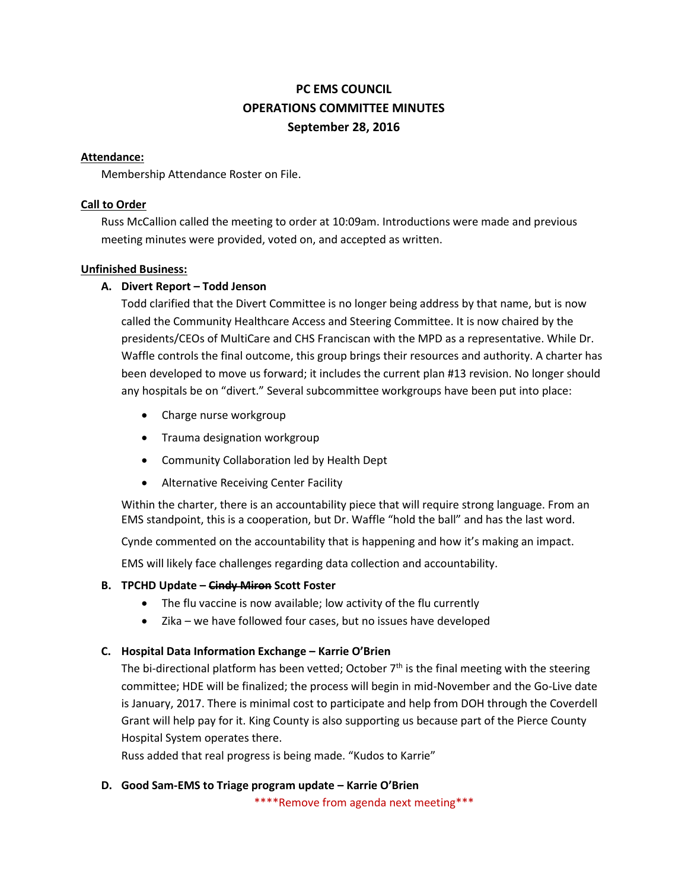# **PC EMS COUNCIL OPERATIONS COMMITTEE MINUTES September 28, 2016**

#### **Attendance:**

Membership Attendance Roster on File.

#### **Call to Order**

Russ McCallion called the meeting to order at 10:09am. Introductions were made and previous meeting minutes were provided, voted on, and accepted as written.

#### **Unfinished Business:**

#### **A. Divert Report – Todd Jenson**

Todd clarified that the Divert Committee is no longer being address by that name, but is now called the Community Healthcare Access and Steering Committee. It is now chaired by the presidents/CEOs of MultiCare and CHS Franciscan with the MPD as a representative. While Dr. Waffle controls the final outcome, this group brings their resources and authority. A charter has been developed to move us forward; it includes the current plan #13 revision. No longer should any hospitals be on "divert." Several subcommittee workgroups have been put into place:

- Charge nurse workgroup
- Trauma designation workgroup
- Community Collaboration led by Health Dept
- Alternative Receiving Center Facility

Within the charter, there is an accountability piece that will require strong language. From an EMS standpoint, this is a cooperation, but Dr. Waffle "hold the ball" and has the last word.

Cynde commented on the accountability that is happening and how it's making an impact.

EMS will likely face challenges regarding data collection and accountability.

#### **B. TPCHD Update – Cindy Miron Scott Foster**

- The flu vaccine is now available; low activity of the flu currently
- Zika we have followed four cases, but no issues have developed

#### **C. Hospital Data Information Exchange – Karrie O'Brien**

The bi-directional platform has been vetted; October  $7<sup>th</sup>$  is the final meeting with the steering committee; HDE will be finalized; the process will begin in mid-November and the Go-Live date is January, 2017. There is minimal cost to participate and help from DOH through the Coverdell Grant will help pay for it. King County is also supporting us because part of the Pierce County Hospital System operates there.

Russ added that real progress is being made. "Kudos to Karrie"

#### **D. Good Sam-EMS to Triage program update – Karrie O'Brien**

\*\*\*\*Remove from agenda next meeting\*\*\*